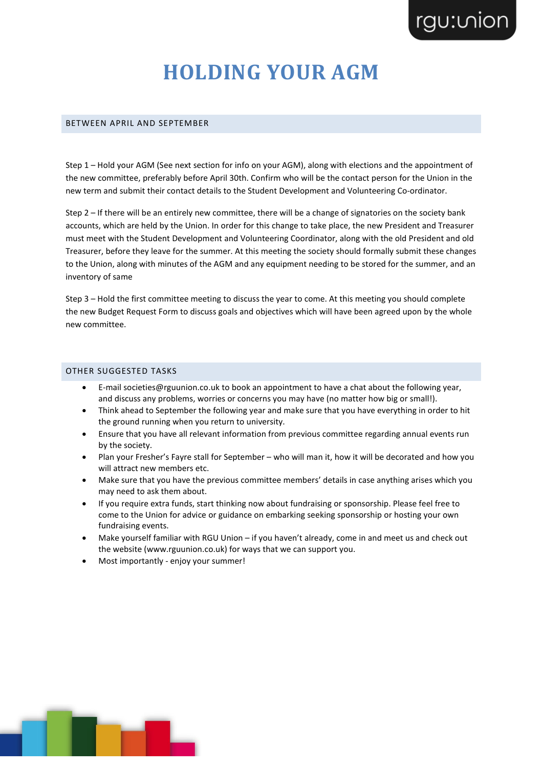# **HOLDING YOUR AGM**

#### BETWEEN APRIL AND SEPTEMBER

Step 1 – Hold your AGM (See next section for info on your AGM), along with elections and the appointment of the new committee, preferably before April 30th. Confirm who will be the contact person for the Union in the new term and submit their contact details to the Student Development and Volunteering Co-ordinator.

Step 2 – If there will be an entirely new committee, there will be a change of signatories on the society bank accounts, which are held by the Union. In order for this change to take place, the new President and Treasurer must meet with the Student Development and Volunteering Coordinator, along with the old President and old Treasurer, before they leave for the summer. At this meeting the society should formally submit these changes to the Union, along with minutes of the AGM and any equipment needing to be stored for the summer, and an inventory of same

Step 3 – Hold the first committee meeting to discuss the year to come. At this meeting you should complete the new Budget Request Form to discuss goals and objectives which will have been agreed upon by the whole new committee.

#### OTHER SUGGESTED TASKS

- E-mail societies@rguunion.co.uk to book an appointment to have a chat about the following year, and discuss any problems, worries or concerns you may have (no matter how big or small!).
- Think ahead to September the following year and make sure that you have everything in order to hit the ground running when you return to university.
- Ensure that you have all relevant information from previous committee regarding annual events run by the society.
- Plan your Fresher's Fayre stall for September who will man it, how it will be decorated and how you will attract new members etc.
- Make sure that you have the previous committee members' details in case anything arises which you may need to ask them about.
- If you require extra funds, start thinking now about fundraising or sponsorship. Please feel free to come to the Union for advice or guidance on embarking seeking sponsorship or hosting your own fundraising events.
- Make yourself familiar with RGU Union if you haven't already, come in and meet us and check out the website (www.rguunion.co.uk) for ways that we can support you.
- Most importantly enjoy your summer!

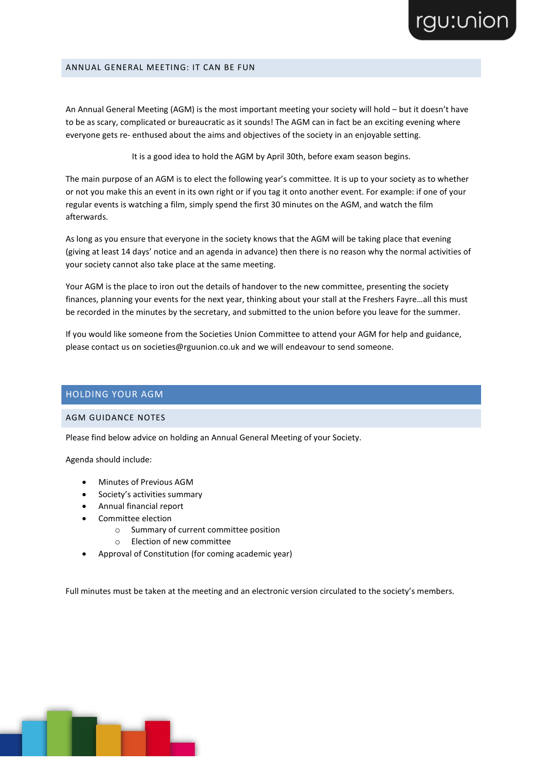#### ANNUAL GENERAL MEETING: IT CAN BE FUN

An Annual General Meeting (AGM) is the most important meeting your society will hold – but it doesn't have to be as scary, complicated or bureaucratic as it sounds! The AGM can in fact be an exciting evening where everyone gets re- enthused about the aims and objectives of the society in an enjoyable setting.

It is a good idea to hold the AGM by April 30th, before exam season begins.

The main purpose of an AGM is to elect the following year's committee. It is up to your society as to whether or not you make this an event in its own right or if you tag it onto another event. For example: if one of your regular events is watching a film, simply spend the first 30 minutes on the AGM, and watch the film afterwards.

As long as you ensure that everyone in the society knows that the AGM will be taking place that evening (giving at least 14 days' notice and an agenda in advance) then there is no reason why the normal activities of your society cannot also take place at the same meeting.

Your AGM is the place to iron out the details of handover to the new committee, presenting the society finances, planning your events for the next year, thinking about your stall at the Freshers Fayre…all this must be recorded in the minutes by the secretary, and submitted to the union before you leave for the summer.

If you would like someone from the Societies Union Committee to attend your AGM for help and guidance, please contact us on societies@rguunion.co.uk and we will endeavour to send someone.

## HOLDING YOUR AGM

### AGM GUIDANCE NOTES

Please find below advice on holding an Annual General Meeting of your Society.

Agenda should include:

- Minutes of Previous AGM
- Society's activities summary
- Annual financial report
- Committee election
	- o Summary of current committee position
	- o Election of new committee
- Approval of Constitution (for coming academic year)

Full minutes must be taken at the meeting and an electronic version circulated to the society's members.

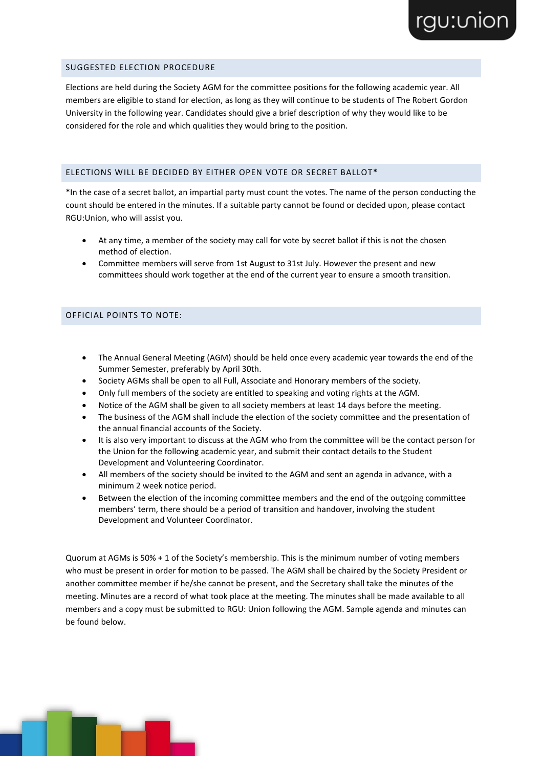## SUGGESTED ELECTION PROCEDURE

Elections are held during the Society AGM for the committee positions for the following academic year. All members are eligible to stand for election, as long as they will continue to be students of The Robert Gordon University in the following year. Candidates should give a brief description of why they would like to be considered for the role and which qualities they would bring to the position.

rgu:vion

### ELECTIONS WILL BE DECIDED BY EITHER OPEN VOTE OR SECRET BALLOT\*

\*In the case of a secret ballot, an impartial party must count the votes. The name of the person conducting the count should be entered in the minutes. If a suitable party cannot be found or decided upon, please contact RGU:Union, who will assist you.

- At any time, a member of the society may call for vote by secret ballot if this is not the chosen method of election.
- Committee members will serve from 1st August to 31st July. However the present and new committees should work together at the end of the current year to ensure a smooth transition.

#### OFFICIAL POINTS TO NOTE:

- The Annual General Meeting (AGM) should be held once every academic year towards the end of the Summer Semester, preferably by April 30th.
- Society AGMs shall be open to all Full, Associate and Honorary members of the society.
- Only full members of the society are entitled to speaking and voting rights at the AGM.
- Notice of the AGM shall be given to all society members at least 14 days before the meeting.
- The business of the AGM shall include the election of the society committee and the presentation of the annual financial accounts of the Society.
- It is also very important to discuss at the AGM who from the committee will be the contact person for the Union for the following academic year, and submit their contact details to the Student Development and Volunteering Coordinator.
- All members of the society should be invited to the AGM and sent an agenda in advance, with a minimum 2 week notice period.
- Between the election of the incoming committee members and the end of the outgoing committee members' term, there should be a period of transition and handover, involving the student Development and Volunteer Coordinator.

Quorum at AGMs is 50% + 1 of the Society's membership. This is the minimum number of voting members who must be present in order for motion to be passed. The AGM shall be chaired by the Society President or another committee member if he/she cannot be present, and the Secretary shall take the minutes of the meeting. Minutes are a record of what took place at the meeting. The minutes shall be made available to all members and a copy must be submitted to RGU: Union following the AGM. Sample agenda and minutes can be found below.

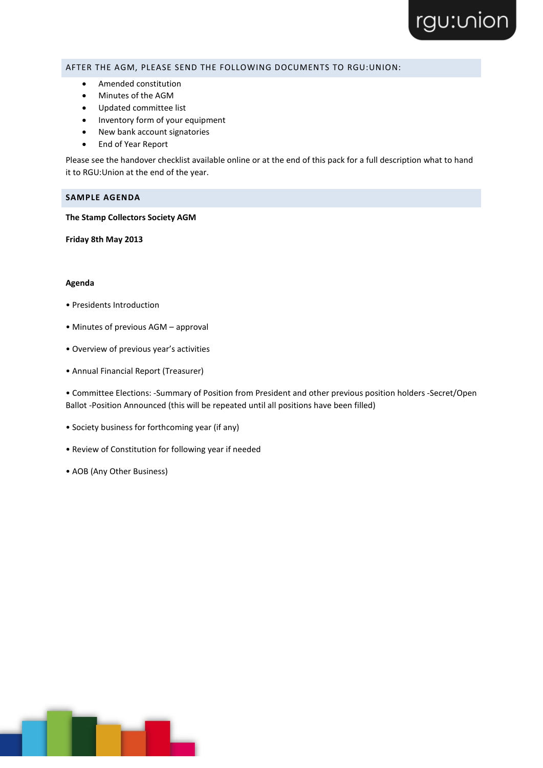### AFTER THE AGM, PLEASE SEND THE FOLLOWING DOCUMENTS TO RGU:UNION:

- Amended constitution
- Minutes of the AGM
- Updated committee list
- Inventory form of your equipment
- New bank account signatories
- End of Year Report

Please see the handover checklist available online or at the end of this pack for a full description what to hand it to RGU:Union at the end of the year.

### **SAMPLE AGENDA**

**The Stamp Collectors Society AGM** 

**Friday 8th May 2013** 

#### **Agenda**

- Presidents Introduction
- Minutes of previous AGM approval
- Overview of previous year's activities
- Annual Financial Report (Treasurer)

• Committee Elections: -Summary of Position from President and other previous position holders -Secret/Open Ballot -Position Announced (this will be repeated until all positions have been filled)

- Society business for forthcoming year (if any)
- Review of Constitution for following year if needed
- AOB (Any Other Business)

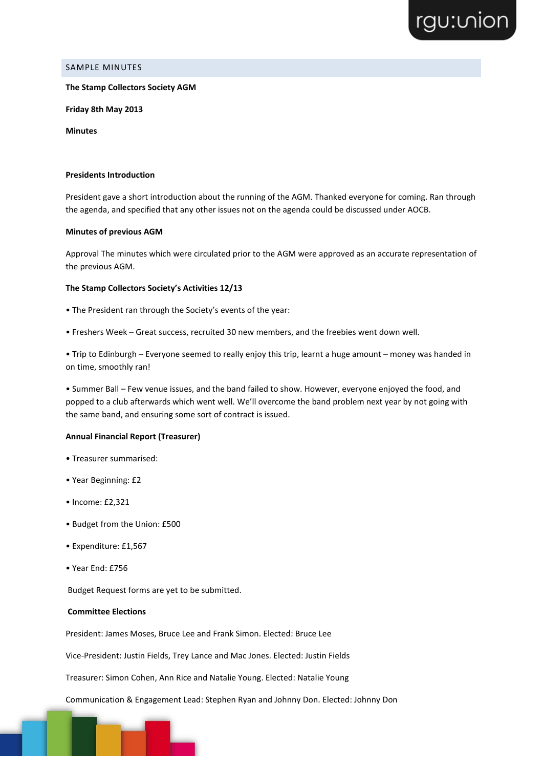

# SAMPLE MINUTES

#### **The Stamp Collectors Society AGM**

**Friday 8th May 2013** 

**Minutes**

#### **Presidents Introduction**

President gave a short introduction about the running of the AGM. Thanked everyone for coming. Ran through the agenda, and specified that any other issues not on the agenda could be discussed under AOCB.

#### **Minutes of previous AGM**

Approval The minutes which were circulated prior to the AGM were approved as an accurate representation of the previous AGM.

#### **The Stamp Collectors Society's Activities 12/13**

- The President ran through the Society's events of the year:
- Freshers Week Great success, recruited 30 new members, and the freebies went down well.

• Trip to Edinburgh – Everyone seemed to really enjoy this trip, learnt a huge amount – money was handed in on time, smoothly ran!

• Summer Ball – Few venue issues, and the band failed to show. However, everyone enjoyed the food, and popped to a club afterwards which went well. We'll overcome the band problem next year by not going with the same band, and ensuring some sort of contract is issued.

#### **Annual Financial Report (Treasurer)**

- Treasurer summarised:
- Year Beginning: £2
- Income: £2,321
- Budget from the Union: £500
- Expenditure: £1,567
- Year End: £756

Budget Request forms are yet to be submitted.

#### **Committee Elections**

President: James Moses, Bruce Lee and Frank Simon. Elected: Bruce Lee

Vice-President: Justin Fields, Trey Lance and Mac Jones. Elected: Justin Fields

Treasurer: Simon Cohen, Ann Rice and Natalie Young. Elected: Natalie Young

Communication & Engagement Lead: Stephen Ryan and Johnny Don. Elected: Johnny Don